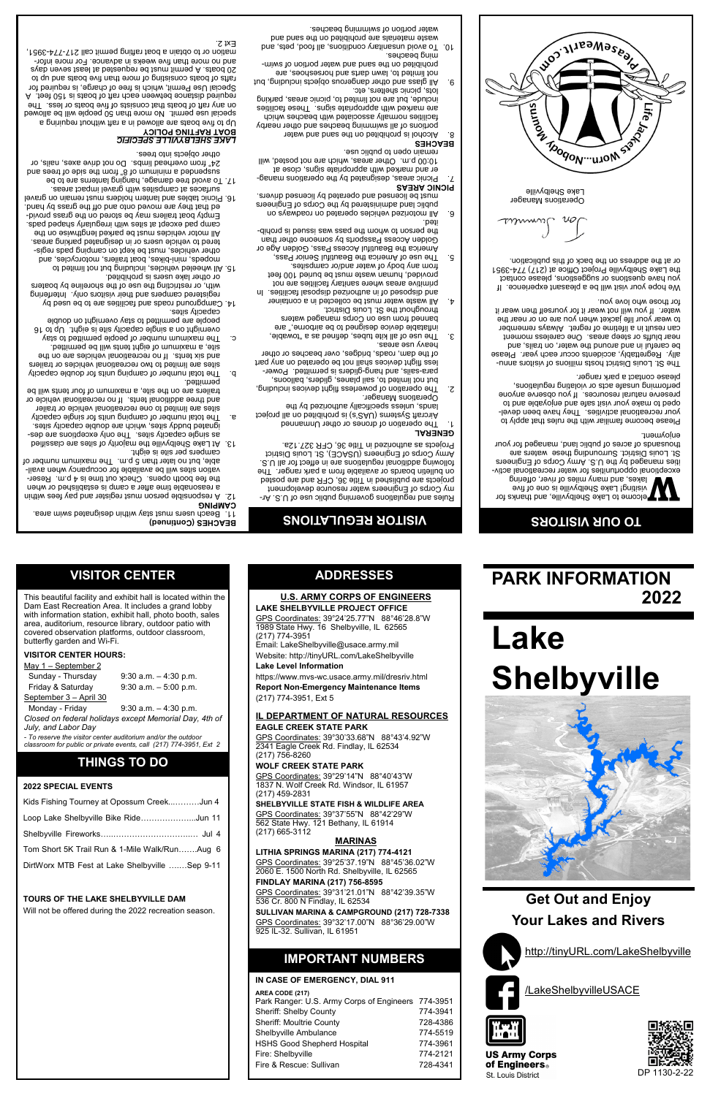

### **PARK INFORMATION 2022**

### **IMPORTANT NUMBERS**

### **IN CASE OF EMERGENCY, DIAL 911**

| AREA CODE (217)<br>Park Ranger: U.S. Army Corps of Engineers 774-3951<br><b>Sheriff: Shelby County</b><br><b>Sheriff: Moultrie County</b><br>Shelbyville Ambulance<br><b>HSHS Good Shepherd Hospital</b><br>Fire: Shelbyville | 774-3941<br>728-4386<br>774-5519<br>774-3961<br>774-2121 |
|-------------------------------------------------------------------------------------------------------------------------------------------------------------------------------------------------------------------------------|----------------------------------------------------------|
| Fire & Rescue: Sullivan                                                                                                                                                                                                       | 728-4341                                                 |
|                                                                                                                                                                                                                               |                                                          |

**U.S. ARMY CORPS OF ENGINEERS**

**LAKE SHELBYVILLE PROJECT OFFICE** GPS Coordinates: 39°24'25.77"N 88°46'28.8"W 1989 State Hwy. 16 Shelbyville, IL 62565

(217) 774-3951

Email: [LakeShelbyville@usace.army.mil](mailto:LakeShelbyville@usace.army.mil) Website: http://tinyURL.com/LakeShelbyville

**Lake Level Information**

https://www.mvs-wc.usace.army.mil/dresriv.html **Report Non-Emergency Maintenance Items**

(217) 774-3951, Ext 5

**IL DEPARTMENT OF NATURAL RESOURCES**

**EAGLE CREEK STATE PARK**

GPS Coordinates: 39°30'33.68"N 88°43'4.92"W

2341 Eagle Creek Rd. Findlay, IL 62534

(217) 756-8260

**WOLF CREEK STATE PARK**

GPS Coordinates: 39°29'14"N 88°40'43"W 1837 N. Wolf Creek Rd. Windsor, IL 61957

(217) 459-2831

**SHELBYVILLE STATE FISH & WILDLIFE AREA**

GPS Coordinates: 39°37'55"N 88°42'29"W 562 State Hwy. 121 Bethany, IL 61914 (217) 665-3112

### **MARINAS**

**LITHIA SPRINGS MARINA (217) 774-4121** GPS Coordinates: 39°25'37.19"N 88°45'36.02"W 2060 E. 1500 North Rd. Shelbyville, IL 62565

**FINDLAY MARINA (217) 756-8595** GPS Coordinates: 39°31'21.01"N 88°42'39.35"W

536 Cr. 800 N Findlay, IL 62534 **SULLIVAN MARINA & CAMPGROUND (217) 728-7338** GPS Coordinates: 39°32'17.00"N 88°36'29.00"W 925 IL-32. Sullivan, IL 61951

**ADDRESSES**

1. The operation of drones or other Unmanned sejorg lls no betididorq ai (a'SAU) ametav& fisnoriA lands, unless specifically authorized by the Operations Manager.

This beautiful facility and exhibit hall is located within the Dam East Recreation Area. It includes a grand lobby with information station, exhibit hall, photo booth, sales area, auditorium, resource library, outdoor patio with covered observation platforms, outdoor classroom,

butterfly garden and Wi-Fi. **VISITOR CENTER HOURS:** May 1 – September 2

 Sunday - Thursday 9:30 a.m. – 4:30 p.m. Friday & Saturday 9:30 a.m. – 5:00 p.m.

September 3 – April 30

 Monday - Friday 9:30 a.m. – 4:30 p.m. *Closed on federal holidays except Memorial Day, 4th of* 

*July, and Labor Day*

*- To reserve the visitor center auditorium and/or the outdoor classroom for public or private events, call (217) 774-3951, Ext 2*  **THINGS TO DO**

**2022 SPECIAL EVENTS**

Kids Fishing Tourney at Opossum Creek...………Jun 4

#### **TOURS OF THE LAKE SHELBYVILLE DAM**

Will not be offered during the 2022 recreation season.

## **VISITOR REGULATIONS**

Rules and regulations governing public use of U.S. Army Corps of Engineers water resource development projects are published in Title 36, CFR and are posted on bulletin boards or available from a park ranger. The following additional regulations are in effect for all U.S. Army Corps of Engineers (USACE), St. Louis District Projects as authorized in Title 36, CFR 327.12a.

**GENERAL**

The St. Louis District hosts millions of visitors annually. Regrettably, accidents occur each year. Please be careful in and around the water, on trails, and near bluffs or steep areas. One careless moment can result in a lifetime of regret. Always remember to wear your life jacket when you are on or near the water. If you will not wear it for yourself then wear it for those who love you.

[http://tinyURL.com/LakeShelbyville](http://tinyurl.com/lakeshelbyville) /LakeShelbyvilleUSACE **Get Out and Enjoy Your Lakes and Rivers**



**US Army Corps** of Engineers. St. Louis District

p. The total number of camping units for double capacity sites are limited to two recreational vehicles or trailers and six tents. If no recreational vehicles are on the site, a maximum of eight tents will be permitted. c. The maximum number of people permitted to stay overnight on a single capacity site is eight. Up to 16 people are permitted to stay overnight on double

14. Campground roads and facilities are to be used by registered campers and their visitors only. Interfering with, or restricting the use of the shoreline by boaters

mopeds, mini-bikes, boat trailers, motorcycles, and other vehicles, must be kept on camping pads registered to vehicle users or in designated parking areas.

- The operation of powerless flight devices including, 2. but not limited to, sail planes, gliders, balloons, is use is permitted. Powerless flight devices shall not be operated on any part
- of the dam, roads, bridges, over beaches or other heavy use areas.
- $\mathcal{E}$ . The use of all kite tubes, defined as a  $\mathcal{E}$ inflatable device designed to be airborne," are
- banned from use on Corps managed waters throughout the St. Louis District. All waste water must be collected in a container 4.
- and disposed of in authorized disposed in a senigle correct of primitive areas where sanitary facilities are not provided, human waste must be buried 100 feet
- from any body of water and/or campsites. 5. The use of America the Beautiful Senior Pass, Golden Access Passports by someone other than
- America the Beautiful Access Pass, Golden Age or the betson to whom the pass issue is person to prohibited.
- All motorized vehicles operated on roadways on 6. public land administered by the Corps of Engineers
- 
- must be licensed and operated by licensed drivers.
- **PICNIC AREAS**
- Picnic areas, designated by the operations manag- 7.
- er and marked with appropriate signs, close at
- 
- 
- 10:00 p.m. Other areas, which are not posted, will
- 
- 
- remain open to public use. **BEACHES**
- Alcohol is prohibited on the sand and water
- portions of all swimming beaches and other nearby facilities normally associated with beaches which
- are marked with appropriate signs. These facilities include, but are not limited to, picnic areas, parking
- lots, picnic shelters, etc. All glass and other dangerous objects including, but 9. not limited to, lawn darts and horseshoes, are
- propited on the sand and water portion of swimseupeag bulu
- Aorahier avoid unsanitary conditions and took and the sets of  $10^{\circ}$ waste materials are prohibited on the sand and water portion of swimming beaches.

and no more than five weeks in advance. For more infor-1695-171-212 llep timed permit call 217-774-3951,

**W** elcome to Lake Shelbyville, and thanks for visiting! Lake Shelbyville is one of five lakes, and many miles of river, offering

exceptional opportunities for water recreational activsteenight of the U.S. Units of Engineers St. Louis District. Surrounding these waters are thousands of acres of public land, managed for your enjoyment.

Please become familiar with the rules that apply to your recreational activities. They have been developed to make your visit safe and enjoyable and to preserve natural resources. If you observe anyone performing unsafe acts or violating regulations, please contact a park ranger.

We hope your visit will be a pleasant experience. If you have questions or suggestions, please contact 1he Lake Shelbyville Project Office at (217) 774-3951 or at the address on the back of this publication.

*TM*unn

### **TO OUR VISITORS**

Operations Manager Lake Shelbyville



**VISITOR CENTER**

**BEACHES (Continued)**

Beach users must stay within designated swim area. 11.

A responsible person must register and pay fees within a reasonable time after a camp is established or when the fee booth opens. Check out time is 4 p.m. Reservation sites will be available for occupancy when available, but no later than 5 p.m. The maximum munber of

**CAMPING**

bermitted.

campers per site is eight.

At Lake Shelbyville the majority of sites are classified 13. as single capacity sites. The only exceptions are designated buddy sites, which are double capacity sites. a. The total number of camping units for single capacity sites are limited to one recreational vehicle or trailer and three additional tents. If no recreational vehicle or trailers are on the site, a maximum of four tents will be

capacity sites.

or other lake users is prohibited.

15. All wheeled vehicles, including but not limited to

- All motor vehicles must be parked lengthwise on the camp pad except at sites with irregularly shaped pads.
- Empty boat trailers may be stored on the grass provided that they are moved onto and off the grass by hand. 16. Picnic tables and lantern holders must remain on gravel surfaces at campsites with gravel impact areas.
- 
- 17. To avoid tree damage, hanging lanterns are to be bus seent to ebis edt mont "8 to muminim a bebnedaus
- from overhead limbs. Do not drive axes, nails, or 24"

### other objects into trees.

### *LAKE SHELBYVILLE SPECIFIC*

**BOAT RAFTING POLICY**

Up to five boats are allowed in a raft without requiring a special use permit. No more than 50 people will be allowed on any raft of boats that consists of the boats of the construction of the construction of the construction of required distance between each raft of boats is 150 feet. A Special Use Permit, which is free of charge, is required for rafts of boats consisting of more than five boats and up to 20 boats. A permit must be requested at least seven days

Ext 2.



# **Lake Shelbyville**